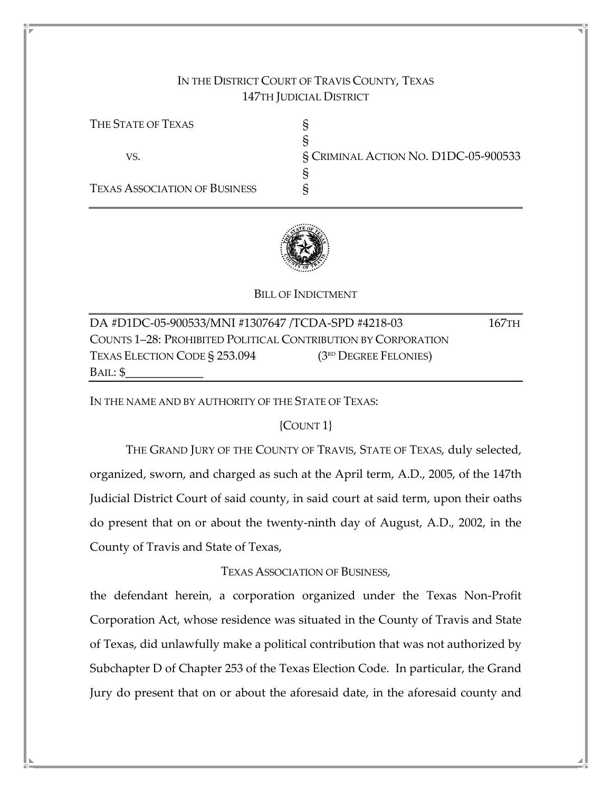# IN THE DISTRICT COURT OF TRAVIS COUNTY, TEXAS 147TH JUDICIAL DISTRICT

THE STATE OF TEXAS S § VS. § CRIMINAL ACTION NO. D1DC-05-900533 § TEXAS ASSOCIATION OF BUSINESS  $\S$ 



## BILL OF INDICTMENT

DA #D1DC-05-900533/MNI #1307647 /TCDA-SPD #4218-03 167TH COUNTS 1–28: PROHIBITED POLITICAL CONTRIBUTION BY CORPORATION TEXAS ELECTION CODE  $\S 253.094$  (3<sup>rd</sup> Degree Felonies)  $BAIL: $$ 

IN THE NAME AND BY AUTHORITY OF THE STATE OF TEXAS:

## {COUNT 1}

 THE GRAND JURY OF THE COUNTY OF TRAVIS, STATE OF TEXAS, duly selected, organized, sworn, and charged as such at the April term, A.D., 2005, of the 147th Judicial District Court of said county, in said court at said term, upon their oaths do present that on or about the twenty-ninth day of August, A.D., 2002, in the County of Travis and State of Texas,

## TEXAS ASSOCIATION OF BUSINESS,

the defendant herein, a corporation organized under the Texas Non-Profit Corporation Act, whose residence was situated in the County of Travis and State of Texas, did unlawfully make a political contribution that was not authorized by Subchapter D of Chapter 253 of the Texas Election Code. In particular, the Grand Jury do present that on or about the aforesaid date, in the aforesaid county and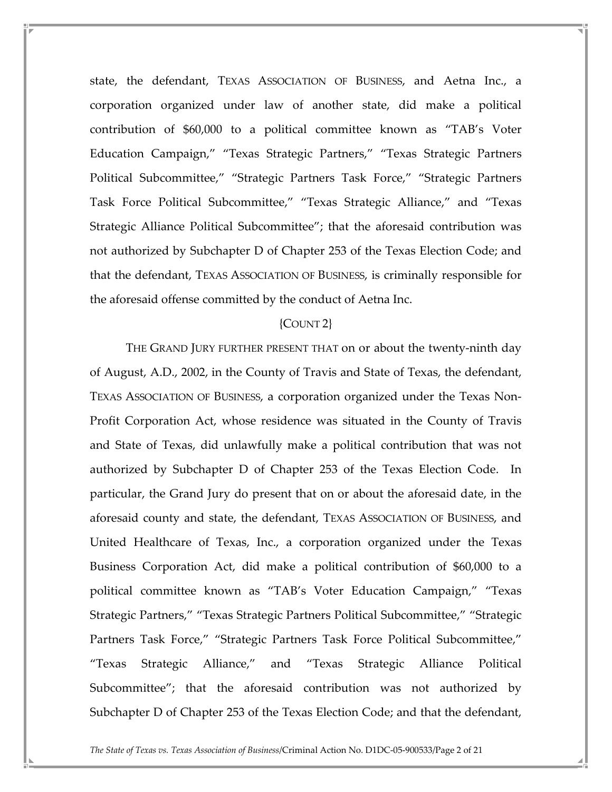state, the defendant, TEXAS ASSOCIATION OF BUSINESS, and Aetna Inc., a corporation organized under law of another state, did make a political contribution of \$60,000 to a political committee known as "TAB's Voter Education Campaign," "Texas Strategic Partners," "Texas Strategic Partners Political Subcommittee," "Strategic Partners Task Force," "Strategic Partners Task Force Political Subcommittee," "Texas Strategic Alliance," and "Texas Strategic Alliance Political Subcommittee"; that the aforesaid contribution was not authorized by Subchapter D of Chapter 253 of the Texas Election Code; and that the defendant, TEXAS ASSOCIATION OF BUSINESS, is criminally responsible for the aforesaid offense committed by the conduct of Aetna Inc.

## {COUNT 2}

 THE GRAND JURY FURTHER PRESENT THAT on or about the twenty-ninth day of August, A.D., 2002, in the County of Travis and State of Texas, the defendant, TEXAS ASSOCIATION OF BUSINESS, a corporation organized under the Texas Non-Profit Corporation Act, whose residence was situated in the County of Travis and State of Texas, did unlawfully make a political contribution that was not authorized by Subchapter D of Chapter 253 of the Texas Election Code. In particular, the Grand Jury do present that on or about the aforesaid date, in the aforesaid county and state, the defendant, TEXAS ASSOCIATION OF BUSINESS, and United Healthcare of Texas, Inc., a corporation organized under the Texas Business Corporation Act, did make a political contribution of \$60,000 to a political committee known as "TAB's Voter Education Campaign," "Texas Strategic Partners," "Texas Strategic Partners Political Subcommittee," "Strategic Partners Task Force," "Strategic Partners Task Force Political Subcommittee," "Texas Strategic Alliance," and "Texas Strategic Alliance Political Subcommittee"; that the aforesaid contribution was not authorized by Subchapter D of Chapter 253 of the Texas Election Code; and that the defendant,

The State of Texas vs. Texas Association of Business/Criminal Action No. D1DC-05-900533/Page 2 of 21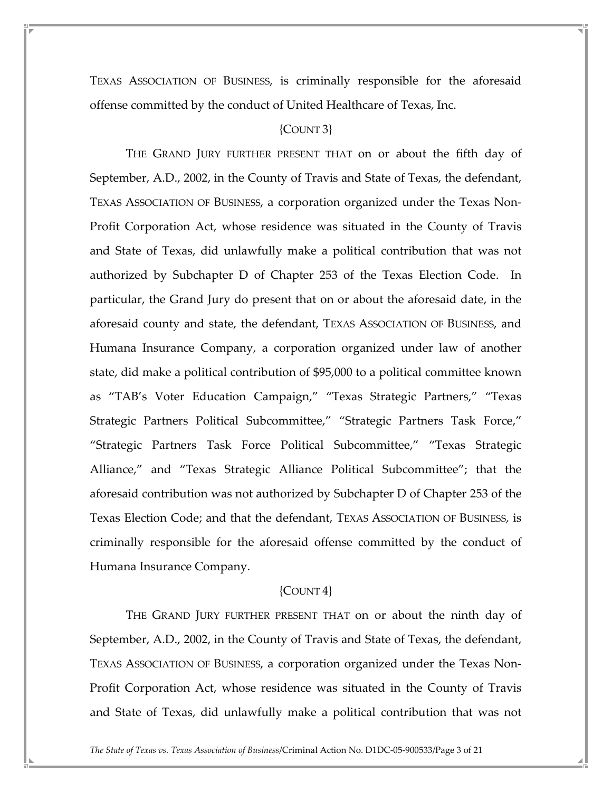TEXAS ASSOCIATION OF BUSINESS, is criminally responsible for the aforesaid offense committed by the conduct of United Healthcare of Texas, Inc.

### {COUNT 3}

 THE GRAND JURY FURTHER PRESENT THAT on or about the fifth day of September, A.D., 2002, in the County of Travis and State of Texas, the defendant, TEXAS ASSOCIATION OF BUSINESS, a corporation organized under the Texas Non-Profit Corporation Act, whose residence was situated in the County of Travis and State of Texas, did unlawfully make a political contribution that was not authorized by Subchapter D of Chapter 253 of the Texas Election Code. In particular, the Grand Jury do present that on or about the aforesaid date, in the aforesaid county and state, the defendant, TEXAS ASSOCIATION OF BUSINESS, and Humana Insurance Company, a corporation organized under law of another state, did make a political contribution of \$95,000 to a political committee known as "TAB's Voter Education Campaign," "Texas Strategic Partners," "Texas Strategic Partners Political Subcommittee," "Strategic Partners Task Force," "Strategic Partners Task Force Political Subcommittee," "Texas Strategic Alliance," and "Texas Strategic Alliance Political Subcommittee"; that the aforesaid contribution was not authorized by Subchapter D of Chapter 253 of the Texas Election Code; and that the defendant, TEXAS ASSOCIATION OF BUSINESS, is criminally responsible for the aforesaid offense committed by the conduct of Humana Insurance Company.

#### ${COUNT 4}$

 THE GRAND JURY FURTHER PRESENT THAT on or about the ninth day of September, A.D., 2002, in the County of Travis and State of Texas, the defendant, TEXAS ASSOCIATION OF BUSINESS, a corporation organized under the Texas Non-Profit Corporation Act, whose residence was situated in the County of Travis and State of Texas, did unlawfully make a political contribution that was not

The State of Texas vs. Texas Association of Business/Criminal Action No. D1DC-05-900533/Page 3 of 21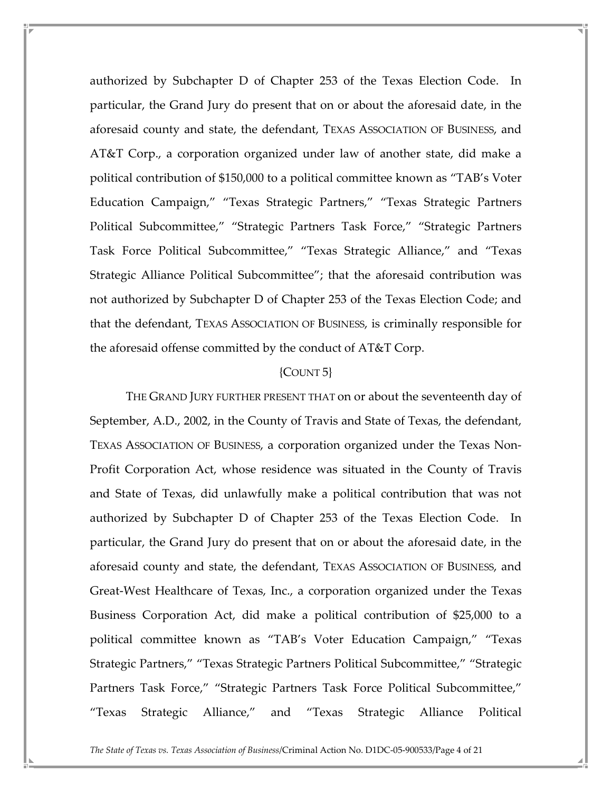authorized by Subchapter D of Chapter 253 of the Texas Election Code. In particular, the Grand Jury do present that on or about the aforesaid date, in the aforesaid county and state, the defendant, TEXAS ASSOCIATION OF BUSINESS, and AT&T Corp., a corporation organized under law of another state, did make a political contribution of \$150,000 to a political committee known as "TAB's Voter Education Campaign," "Texas Strategic Partners," "Texas Strategic Partners Political Subcommittee," "Strategic Partners Task Force," "Strategic Partners Task Force Political Subcommittee," "Texas Strategic Alliance," and "Texas Strategic Alliance Political Subcommittee"; that the aforesaid contribution was not authorized by Subchapter D of Chapter 253 of the Texas Election Code; and that the defendant, TEXAS ASSOCIATION OF BUSINESS, is criminally responsible for the aforesaid offense committed by the conduct of AT&T Corp.

### {COUNT 5}

 THE GRAND JURY FURTHER PRESENT THAT on or about the seventeenth day of September, A.D., 2002, in the County of Travis and State of Texas, the defendant, TEXAS ASSOCIATION OF BUSINESS, a corporation organized under the Texas Non-Profit Corporation Act, whose residence was situated in the County of Travis and State of Texas, did unlawfully make a political contribution that was not authorized by Subchapter D of Chapter 253 of the Texas Election Code. In particular, the Grand Jury do present that on or about the aforesaid date, in the aforesaid county and state, the defendant, TEXAS ASSOCIATION OF BUSINESS, and Great-West Healthcare of Texas, Inc., a corporation organized under the Texas Business Corporation Act, did make a political contribution of \$25,000 to a political committee known as "TAB's Voter Education Campaign," "Texas Strategic Partners," "Texas Strategic Partners Political Subcommittee," "Strategic Partners Task Force," "Strategic Partners Task Force Political Subcommittee," "Texas Strategic Alliance," and "Texas Strategic Alliance Political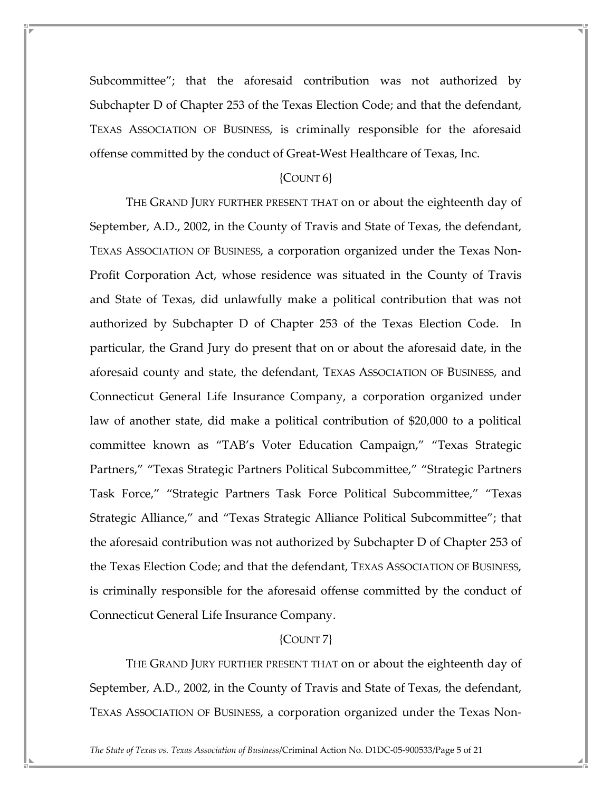Subcommittee"; that the aforesaid contribution was not authorized by Subchapter D of Chapter 253 of the Texas Election Code; and that the defendant, TEXAS ASSOCIATION OF BUSINESS, is criminally responsible for the aforesaid offense committed by the conduct of Great-West Healthcare of Texas, Inc.

## {COUNT 6}

 THE GRAND JURY FURTHER PRESENT THAT on or about the eighteenth day of September, A.D., 2002, in the County of Travis and State of Texas, the defendant, TEXAS ASSOCIATION OF BUSINESS, a corporation organized under the Texas Non-Profit Corporation Act, whose residence was situated in the County of Travis and State of Texas, did unlawfully make a political contribution that was not authorized by Subchapter D of Chapter 253 of the Texas Election Code. In particular, the Grand Jury do present that on or about the aforesaid date, in the aforesaid county and state, the defendant, TEXAS ASSOCIATION OF BUSINESS, and Connecticut General Life Insurance Company, a corporation organized under law of another state, did make a political contribution of \$20,000 to a political committee known as "TAB's Voter Education Campaign," "Texas Strategic Partners," "Texas Strategic Partners Political Subcommittee," "Strategic Partners Task Force," "Strategic Partners Task Force Political Subcommittee," "Texas Strategic Alliance," and "Texas Strategic Alliance Political Subcommittee"; that the aforesaid contribution was not authorized by Subchapter D of Chapter 253 of the Texas Election Code; and that the defendant, TEXAS ASSOCIATION OF BUSINESS, is criminally responsible for the aforesaid offense committed by the conduct of Connecticut General Life Insurance Company.

## {COUNT 7}

 THE GRAND JURY FURTHER PRESENT THAT on or about the eighteenth day of September, A.D., 2002, in the County of Travis and State of Texas, the defendant, TEXAS ASSOCIATION OF BUSINESS, a corporation organized under the Texas Non-

The State of Texas vs. Texas Association of Business/Criminal Action No. D1DC-05-900533/Page 5 of 21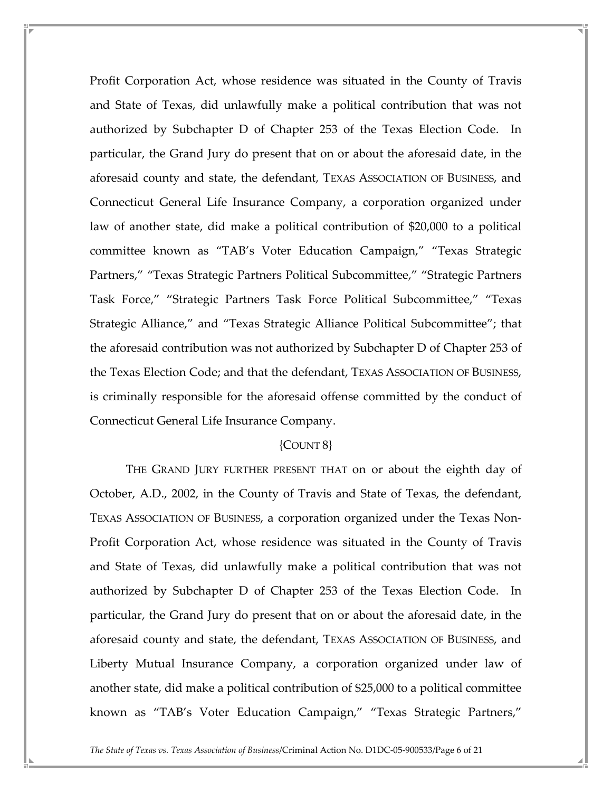Profit Corporation Act, whose residence was situated in the County of Travis and State of Texas, did unlawfully make a political contribution that was not authorized by Subchapter D of Chapter 253 of the Texas Election Code. In particular, the Grand Jury do present that on or about the aforesaid date, in the aforesaid county and state, the defendant, TEXAS ASSOCIATION OF BUSINESS, and Connecticut General Life Insurance Company, a corporation organized under law of another state, did make a political contribution of \$20,000 to a political committee known as "TAB's Voter Education Campaign," "Texas Strategic Partners," "Texas Strategic Partners Political Subcommittee," "Strategic Partners Task Force," "Strategic Partners Task Force Political Subcommittee," "Texas Strategic Alliance," and "Texas Strategic Alliance Political Subcommittee"; that the aforesaid contribution was not authorized by Subchapter D of Chapter 253 of the Texas Election Code; and that the defendant, TEXAS ASSOCIATION OF BUSINESS, is criminally responsible for the aforesaid offense committed by the conduct of Connecticut General Life Insurance Company.

### ${COUNT8}$

 THE GRAND JURY FURTHER PRESENT THAT on or about the eighth day of October, A.D., 2002, in the County of Travis and State of Texas, the defendant, TEXAS ASSOCIATION OF BUSINESS, a corporation organized under the Texas Non-Profit Corporation Act, whose residence was situated in the County of Travis and State of Texas, did unlawfully make a political contribution that was not authorized by Subchapter D of Chapter 253 of the Texas Election Code. In particular, the Grand Jury do present that on or about the aforesaid date, in the aforesaid county and state, the defendant, TEXAS ASSOCIATION OF BUSINESS, and Liberty Mutual Insurance Company, a corporation organized under law of another state, did make a political contribution of \$25,000 to a political committee known as "TAB's Voter Education Campaign," "Texas Strategic Partners,"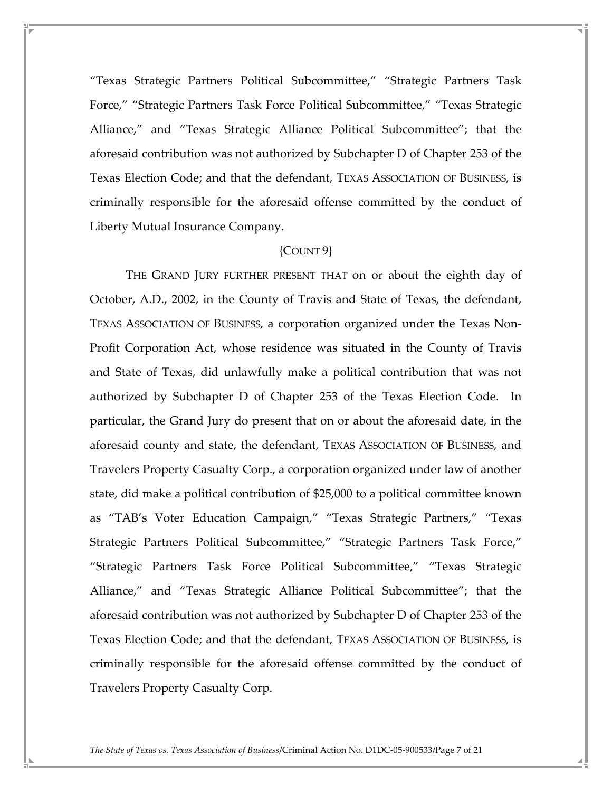"Texas Strategic Partners Political Subcommittee," "Strategic Partners Task Force," "Strategic Partners Task Force Political Subcommittee," "Texas Strategic Alliance," and "Texas Strategic Alliance Political Subcommittee"; that the aforesaid contribution was not authorized by Subchapter D of Chapter 253 of the Texas Election Code; and that the defendant, TEXAS ASSOCIATION OF BUSINESS, is criminally responsible for the aforesaid offense committed by the conduct of Liberty Mutual Insurance Company.

### ${COUNT9}$

 THE GRAND JURY FURTHER PRESENT THAT on or about the eighth day of October, A.D., 2002, in the County of Travis and State of Texas, the defendant, TEXAS ASSOCIATION OF BUSINESS, a corporation organized under the Texas Non-Profit Corporation Act, whose residence was situated in the County of Travis and State of Texas, did unlawfully make a political contribution that was not authorized by Subchapter D of Chapter 253 of the Texas Election Code. In particular, the Grand Jury do present that on or about the aforesaid date, in the aforesaid county and state, the defendant, TEXAS ASSOCIATION OF BUSINESS, and Travelers Property Casualty Corp., a corporation organized under law of another state, did make a political contribution of \$25,000 to a political committee known as "TAB's Voter Education Campaign," "Texas Strategic Partners," "Texas Strategic Partners Political Subcommittee," "Strategic Partners Task Force," "Strategic Partners Task Force Political Subcommittee," "Texas Strategic Alliance," and "Texas Strategic Alliance Political Subcommittee"; that the aforesaid contribution was not authorized by Subchapter D of Chapter 253 of the Texas Election Code; and that the defendant, TEXAS ASSOCIATION OF BUSINESS, is criminally responsible for the aforesaid offense committed by the conduct of Travelers Property Casualty Corp.

The State of Texas vs. Texas Association of Business/Criminal Action No. D1DC-05-900533/Page 7 of 21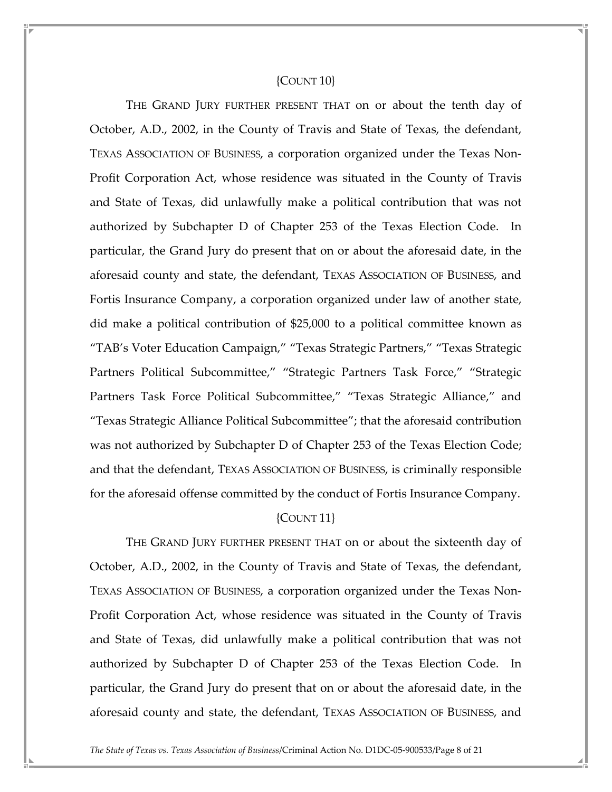### ${C$ OUNT  $10$

 THE GRAND JURY FURTHER PRESENT THAT on or about the tenth day of October, A.D., 2002, in the County of Travis and State of Texas, the defendant, TEXAS ASSOCIATION OF BUSINESS, a corporation organized under the Texas Non-Profit Corporation Act, whose residence was situated in the County of Travis and State of Texas, did unlawfully make a political contribution that was not authorized by Subchapter D of Chapter 253 of the Texas Election Code. In particular, the Grand Jury do present that on or about the aforesaid date, in the aforesaid county and state, the defendant, TEXAS ASSOCIATION OF BUSINESS, and Fortis Insurance Company, a corporation organized under law of another state, did make a political contribution of \$25,000 to a political committee known as "TAB's Voter Education Campaign," "Texas Strategic Partners," "Texas Strategic Partners Political Subcommittee," "Strategic Partners Task Force," "Strategic Partners Task Force Political Subcommittee," "Texas Strategic Alliance," and "Texas Strategic Alliance Political Subcommittee"; that the aforesaid contribution was not authorized by Subchapter D of Chapter 253 of the Texas Election Code; and that the defendant, TEXAS ASSOCIATION OF BUSINESS, is criminally responsible for the aforesaid offense committed by the conduct of Fortis Insurance Company.

## {COUNT 11}

 THE GRAND JURY FURTHER PRESENT THAT on or about the sixteenth day of October, A.D., 2002, in the County of Travis and State of Texas, the defendant, TEXAS ASSOCIATION OF BUSINESS, a corporation organized under the Texas Non-Profit Corporation Act, whose residence was situated in the County of Travis and State of Texas, did unlawfully make a political contribution that was not authorized by Subchapter D of Chapter 253 of the Texas Election Code. In particular, the Grand Jury do present that on or about the aforesaid date, in the aforesaid county and state, the defendant, TEXAS ASSOCIATION OF BUSINESS, and

The State of Texas vs. Texas Association of Business/Criminal Action No. D1DC-05-900533/Page 8 of 21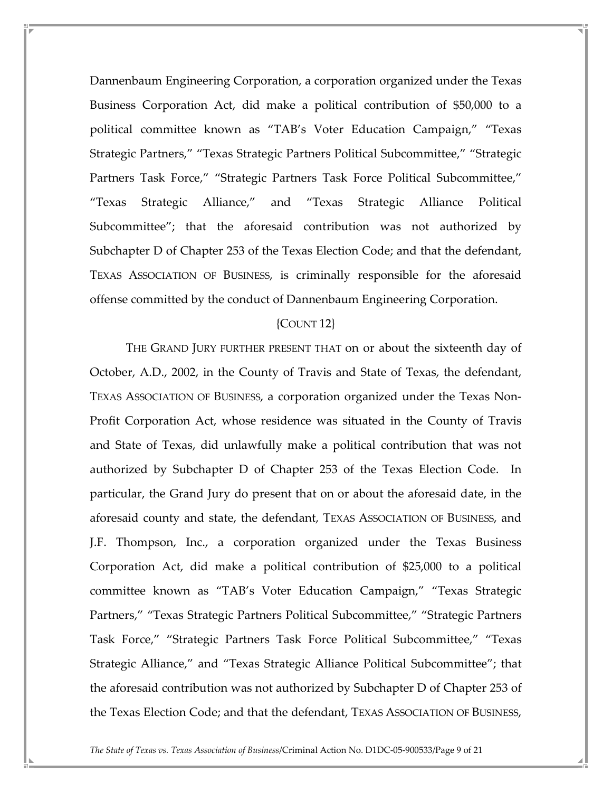Dannenbaum Engineering Corporation, a corporation organized under the Texas Business Corporation Act, did make a political contribution of \$50,000 to a political committee known as "TAB's Voter Education Campaign," "Texas Strategic Partners," "Texas Strategic Partners Political Subcommittee," "Strategic Partners Task Force," "Strategic Partners Task Force Political Subcommittee," "Texas Strategic Alliance," and "Texas Strategic Alliance Political Subcommittee"; that the aforesaid contribution was not authorized by Subchapter D of Chapter 253 of the Texas Election Code; and that the defendant, TEXAS ASSOCIATION OF BUSINESS, is criminally responsible for the aforesaid offense committed by the conduct of Dannenbaum Engineering Corporation.

## {COUNT 12}

 THE GRAND JURY FURTHER PRESENT THAT on or about the sixteenth day of October, A.D., 2002, in the County of Travis and State of Texas, the defendant, TEXAS ASSOCIATION OF BUSINESS, a corporation organized under the Texas Non-Profit Corporation Act, whose residence was situated in the County of Travis and State of Texas, did unlawfully make a political contribution that was not authorized by Subchapter D of Chapter 253 of the Texas Election Code. In particular, the Grand Jury do present that on or about the aforesaid date, in the aforesaid county and state, the defendant, TEXAS ASSOCIATION OF BUSINESS, and J.F. Thompson, Inc., a corporation organized under the Texas Business Corporation Act, did make a political contribution of \$25,000 to a political committee known as "TAB's Voter Education Campaign," "Texas Strategic Partners," "Texas Strategic Partners Political Subcommittee," "Strategic Partners Task Force," "Strategic Partners Task Force Political Subcommittee," "Texas Strategic Alliance," and "Texas Strategic Alliance Political Subcommittee"; that the aforesaid contribution was not authorized by Subchapter D of Chapter 253 of the Texas Election Code; and that the defendant, TEXAS ASSOCIATION OF BUSINESS,

The State of Texas vs. Texas Association of Business/Criminal Action No. D1DC-05-900533/Page 9 of 21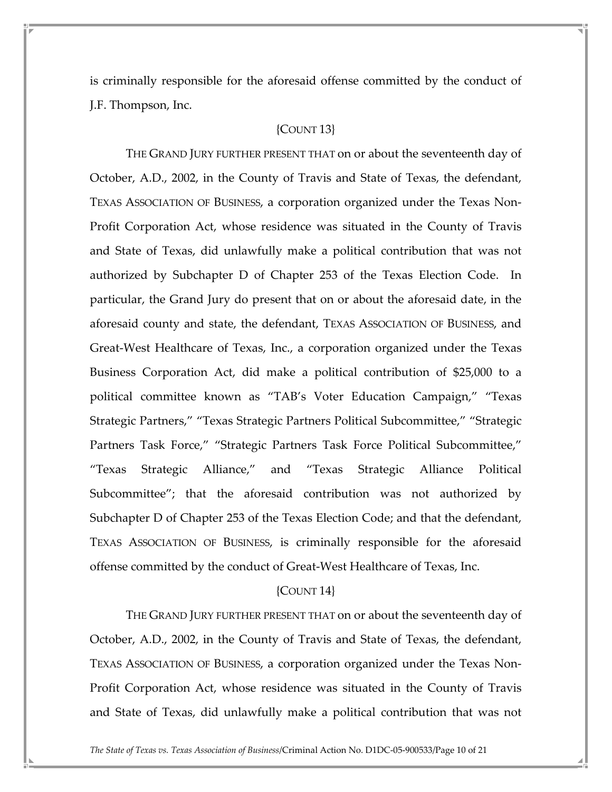is criminally responsible for the aforesaid offense committed by the conduct of J.F. Thompson, Inc.

### {COUNT 13}

 THE GRAND JURY FURTHER PRESENT THAT on or about the seventeenth day of October, A.D., 2002, in the County of Travis and State of Texas, the defendant, TEXAS ASSOCIATION OF BUSINESS, a corporation organized under the Texas Non-Profit Corporation Act, whose residence was situated in the County of Travis and State of Texas, did unlawfully make a political contribution that was not authorized by Subchapter D of Chapter 253 of the Texas Election Code. In particular, the Grand Jury do present that on or about the aforesaid date, in the aforesaid county and state, the defendant, TEXAS ASSOCIATION OF BUSINESS, and Great-West Healthcare of Texas, Inc., a corporation organized under the Texas Business Corporation Act, did make a political contribution of \$25,000 to a political committee known as "TAB's Voter Education Campaign," "Texas Strategic Partners," "Texas Strategic Partners Political Subcommittee," "Strategic Partners Task Force," "Strategic Partners Task Force Political Subcommittee," "Texas Strategic Alliance," and "Texas Strategic Alliance Political Subcommittee"; that the aforesaid contribution was not authorized by Subchapter D of Chapter 253 of the Texas Election Code; and that the defendant, TEXAS ASSOCIATION OF BUSINESS, is criminally responsible for the aforesaid offense committed by the conduct of Great-West Healthcare of Texas, Inc.

#### ${C$ OUNT 14 $}$

 THE GRAND JURY FURTHER PRESENT THAT on or about the seventeenth day of October, A.D., 2002, in the County of Travis and State of Texas, the defendant, TEXAS ASSOCIATION OF BUSINESS, a corporation organized under the Texas Non-Profit Corporation Act, whose residence was situated in the County of Travis and State of Texas, did unlawfully make a political contribution that was not

The State of Texas vs. Texas Association of Business/Criminal Action No. D1DC-05-900533/Page 10 of 21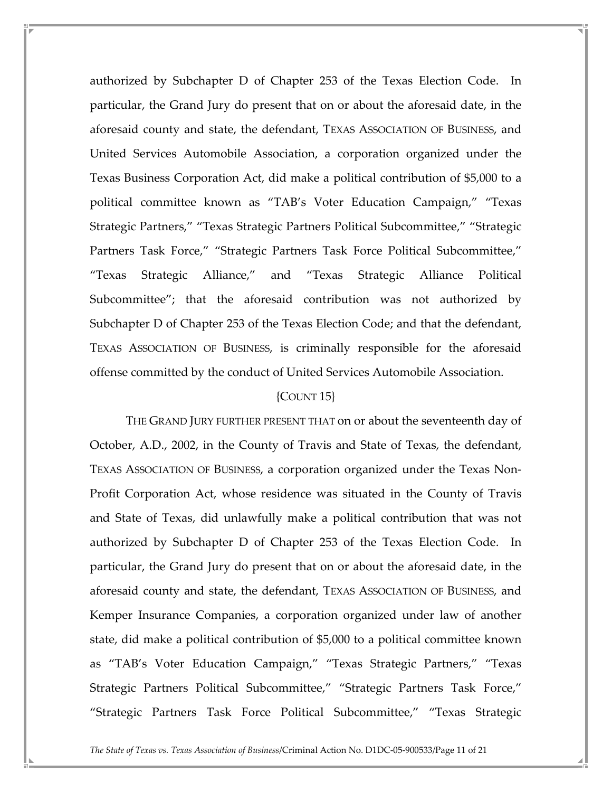authorized by Subchapter D of Chapter 253 of the Texas Election Code. In particular, the Grand Jury do present that on or about the aforesaid date, in the aforesaid county and state, the defendant, TEXAS ASSOCIATION OF BUSINESS, and United Services Automobile Association, a corporation organized under the Texas Business Corporation Act, did make a political contribution of \$5,000 to a political committee known as "TAB's Voter Education Campaign," "Texas Strategic Partners," "Texas Strategic Partners Political Subcommittee," "Strategic Partners Task Force," "Strategic Partners Task Force Political Subcommittee," "Texas Strategic Alliance," and "Texas Strategic Alliance Political Subcommittee"; that the aforesaid contribution was not authorized by Subchapter D of Chapter 253 of the Texas Election Code; and that the defendant, TEXAS ASSOCIATION OF BUSINESS, is criminally responsible for the aforesaid offense committed by the conduct of United Services Automobile Association.

### ${COUNT 15}$

 THE GRAND JURY FURTHER PRESENT THAT on or about the seventeenth day of October, A.D., 2002, in the County of Travis and State of Texas, the defendant, TEXAS ASSOCIATION OF BUSINESS, a corporation organized under the Texas Non-Profit Corporation Act, whose residence was situated in the County of Travis and State of Texas, did unlawfully make a political contribution that was not authorized by Subchapter D of Chapter 253 of the Texas Election Code. In particular, the Grand Jury do present that on or about the aforesaid date, in the aforesaid county and state, the defendant, TEXAS ASSOCIATION OF BUSINESS, and Kemper Insurance Companies, a corporation organized under law of another state, did make a political contribution of \$5,000 to a political committee known as "TAB's Voter Education Campaign," "Texas Strategic Partners," "Texas Strategic Partners Political Subcommittee," "Strategic Partners Task Force," "Strategic Partners Task Force Political Subcommittee," "Texas Strategic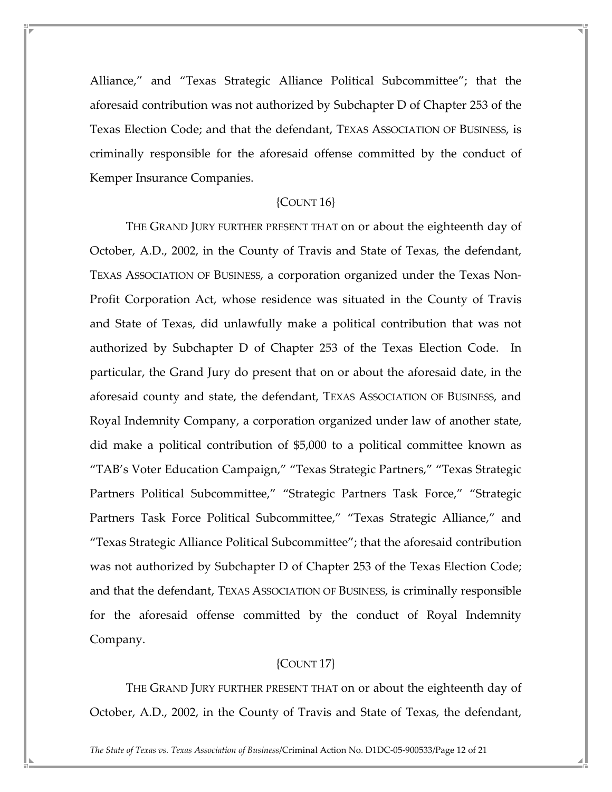Alliance," and "Texas Strategic Alliance Political Subcommittee"; that the aforesaid contribution was not authorized by Subchapter D of Chapter 253 of the Texas Election Code; and that the defendant, TEXAS ASSOCIATION OF BUSINESS, is criminally responsible for the aforesaid offense committed by the conduct of Kemper Insurance Companies.

#### ${COUNT16}$

 THE GRAND JURY FURTHER PRESENT THAT on or about the eighteenth day of October, A.D., 2002, in the County of Travis and State of Texas, the defendant, TEXAS ASSOCIATION OF BUSINESS, a corporation organized under the Texas Non-Profit Corporation Act, whose residence was situated in the County of Travis and State of Texas, did unlawfully make a political contribution that was not authorized by Subchapter D of Chapter 253 of the Texas Election Code. In particular, the Grand Jury do present that on or about the aforesaid date, in the aforesaid county and state, the defendant, TEXAS ASSOCIATION OF BUSINESS, and Royal Indemnity Company, a corporation organized under law of another state, did make a political contribution of \$5,000 to a political committee known as "TAB's Voter Education Campaign," "Texas Strategic Partners," "Texas Strategic Partners Political Subcommittee," "Strategic Partners Task Force," "Strategic Partners Task Force Political Subcommittee," "Texas Strategic Alliance," and "Texas Strategic Alliance Political Subcommittee"; that the aforesaid contribution was not authorized by Subchapter D of Chapter 253 of the Texas Election Code; and that the defendant, TEXAS ASSOCIATION OF BUSINESS, is criminally responsible for the aforesaid offense committed by the conduct of Royal Indemnity Company.

## {COUNT 17}

 THE GRAND JURY FURTHER PRESENT THAT on or about the eighteenth day of October, A.D., 2002, in the County of Travis and State of Texas, the defendant,

The State of Texas vs. Texas Association of Business/Criminal Action No. D1DC-05-900533/Page 12 of 21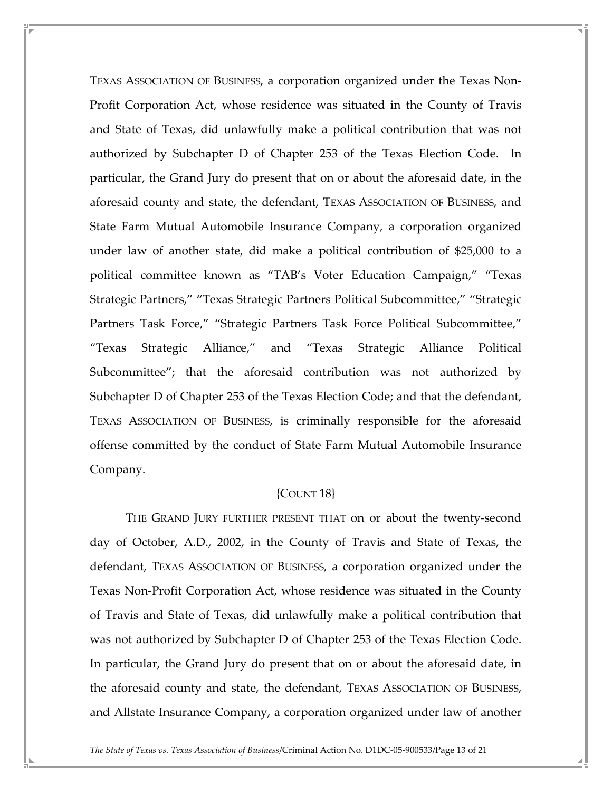TEXAS ASSOCIATION OF BUSINESS, a corporation organized under the Texas Non-Profit Corporation Act, whose residence was situated in the County of Travis and State of Texas, did unlawfully make a political contribution that was not authorized by Subchapter D of Chapter 253 of the Texas Election Code. In particular, the Grand Jury do present that on or about the aforesaid date, in the aforesaid county and state, the defendant, TEXAS ASSOCIATION OF BUSINESS, and State Farm Mutual Automobile Insurance Company, a corporation organized under law of another state, did make a political contribution of \$25,000 to a political committee known as "TAB's Voter Education Campaign," "Texas Strategic Partners," "Texas Strategic Partners Political Subcommittee," "Strategic Partners Task Force," "Strategic Partners Task Force Political Subcommittee," "Texas Strategic Alliance," and "Texas Strategic Alliance Political Subcommittee"; that the aforesaid contribution was not authorized by Subchapter D of Chapter 253 of the Texas Election Code; and that the defendant, TEXAS ASSOCIATION OF BUSINESS, is criminally responsible for the aforesaid offense committed by the conduct of State Farm Mutual Automobile Insurance Company.

#### {COUNT 18}

 THE GRAND JURY FURTHER PRESENT THAT on or about the twenty-second day of October, A.D., 2002, in the County of Travis and State of Texas, the defendant, TEXAS ASSOCIATION OF BUSINESS, a corporation organized under the Texas Non-Profit Corporation Act, whose residence was situated in the County of Travis and State of Texas, did unlawfully make a political contribution that was not authorized by Subchapter D of Chapter 253 of the Texas Election Code. In particular, the Grand Jury do present that on or about the aforesaid date, in the aforesaid county and state, the defendant, TEXAS ASSOCIATION OF BUSINESS, and Allstate Insurance Company, a corporation organized under law of another

The State of Texas vs. Texas Association of Business/Criminal Action No. D1DC-05-900533/Page 13 of 21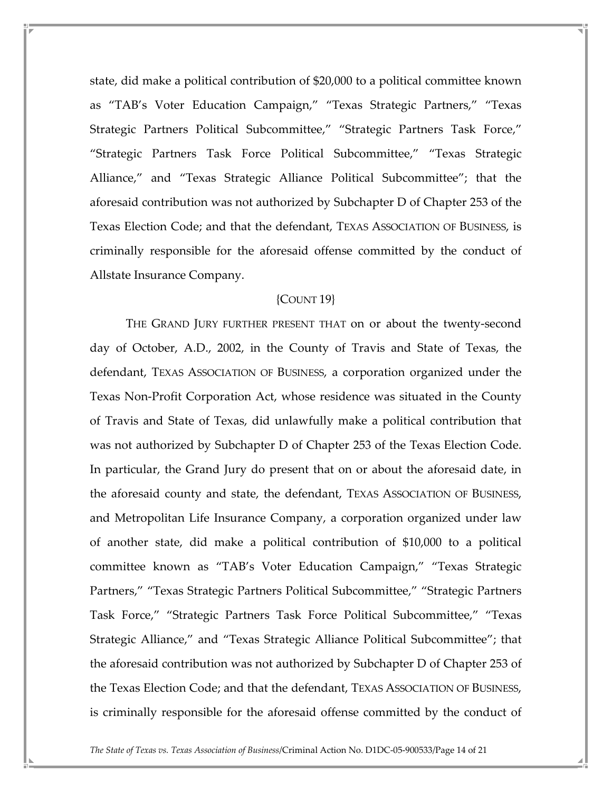state, did make a political contribution of \$20,000 to a political committee known as "TAB's Voter Education Campaign," "Texas Strategic Partners," "Texas Strategic Partners Political Subcommittee," "Strategic Partners Task Force," "Strategic Partners Task Force Political Subcommittee," "Texas Strategic Alliance," and "Texas Strategic Alliance Political Subcommittee"; that the aforesaid contribution was not authorized by Subchapter D of Chapter 253 of the Texas Election Code; and that the defendant, TEXAS ASSOCIATION OF BUSINESS, is criminally responsible for the aforesaid offense committed by the conduct of Allstate Insurance Company.

### {COUNT 19}

 THE GRAND JURY FURTHER PRESENT THAT on or about the twenty-second day of October, A.D., 2002, in the County of Travis and State of Texas, the defendant, TEXAS ASSOCIATION OF BUSINESS, a corporation organized under the Texas Non-Profit Corporation Act, whose residence was situated in the County of Travis and State of Texas, did unlawfully make a political contribution that was not authorized by Subchapter D of Chapter 253 of the Texas Election Code. In particular, the Grand Jury do present that on or about the aforesaid date, in the aforesaid county and state, the defendant, TEXAS ASSOCIATION OF BUSINESS, and Metropolitan Life Insurance Company, a corporation organized under law of another state, did make a political contribution of \$10,000 to a political committee known as "TAB's Voter Education Campaign," "Texas Strategic Partners," "Texas Strategic Partners Political Subcommittee," "Strategic Partners Task Force," "Strategic Partners Task Force Political Subcommittee," "Texas Strategic Alliance," and "Texas Strategic Alliance Political Subcommittee"; that the aforesaid contribution was not authorized by Subchapter D of Chapter 253 of the Texas Election Code; and that the defendant, TEXAS ASSOCIATION OF BUSINESS, is criminally responsible for the aforesaid offense committed by the conduct of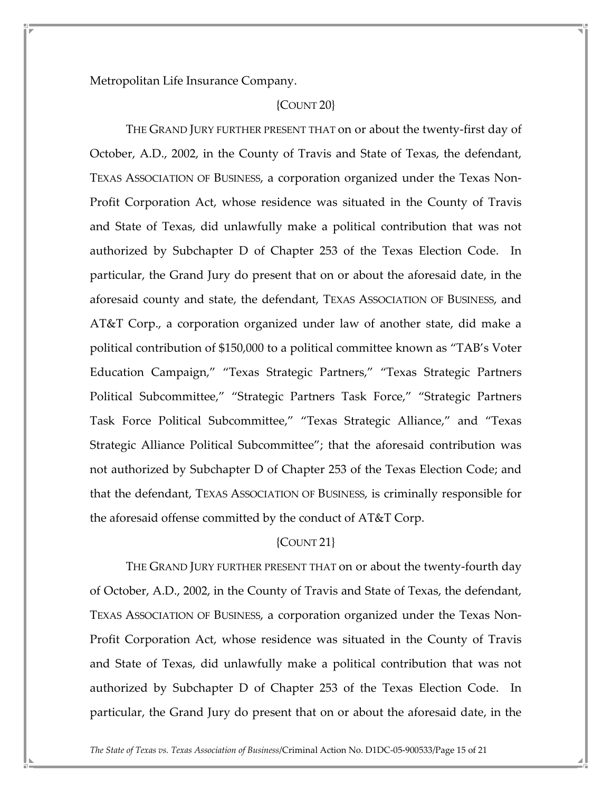Metropolitan Life Insurance Company.

### {COUNT 20}

 THE GRAND JURY FURTHER PRESENT THAT on or about the twenty-first day of October, A.D., 2002, in the County of Travis and State of Texas, the defendant, TEXAS ASSOCIATION OF BUSINESS, a corporation organized under the Texas Non-Profit Corporation Act, whose residence was situated in the County of Travis and State of Texas, did unlawfully make a political contribution that was not authorized by Subchapter D of Chapter 253 of the Texas Election Code. In particular, the Grand Jury do present that on or about the aforesaid date, in the aforesaid county and state, the defendant, TEXAS ASSOCIATION OF BUSINESS, and AT&T Corp., a corporation organized under law of another state, did make a political contribution of \$150,000 to a political committee known as "TAB's Voter Education Campaign," "Texas Strategic Partners," "Texas Strategic Partners Political Subcommittee," "Strategic Partners Task Force," "Strategic Partners Task Force Political Subcommittee," "Texas Strategic Alliance," and "Texas Strategic Alliance Political Subcommittee"; that the aforesaid contribution was not authorized by Subchapter D of Chapter 253 of the Texas Election Code; and that the defendant, TEXAS ASSOCIATION OF BUSINESS, is criminally responsible for the aforesaid offense committed by the conduct of AT&T Corp.

### ${COUNT 21}$

 THE GRAND JURY FURTHER PRESENT THAT on or about the twenty-fourth day of October, A.D., 2002, in the County of Travis and State of Texas, the defendant, TEXAS ASSOCIATION OF BUSINESS, a corporation organized under the Texas Non-Profit Corporation Act, whose residence was situated in the County of Travis and State of Texas, did unlawfully make a political contribution that was not authorized by Subchapter D of Chapter 253 of the Texas Election Code. In particular, the Grand Jury do present that on or about the aforesaid date, in the

The State of Texas vs. Texas Association of Business/Criminal Action No. D1DC-05-900533/Page 15 of 21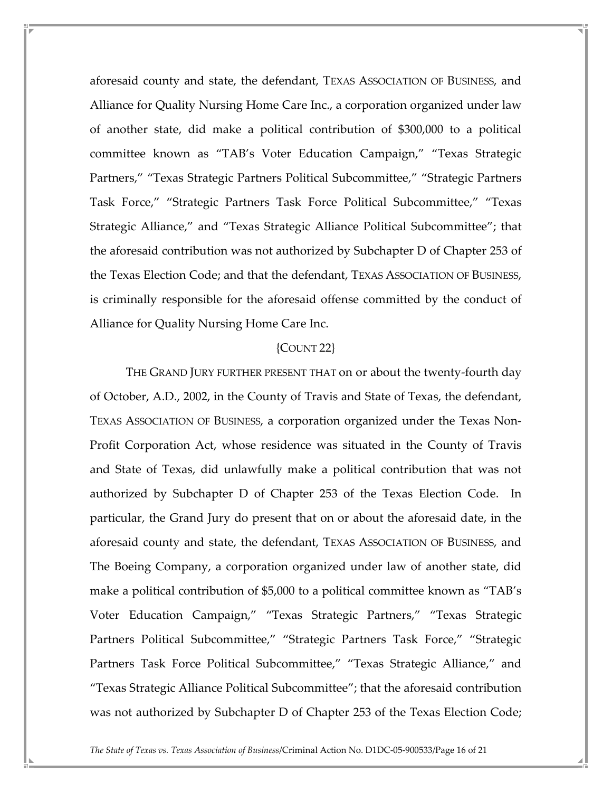aforesaid county and state, the defendant, TEXAS ASSOCIATION OF BUSINESS, and Alliance for Quality Nursing Home Care Inc., a corporation organized under law of another state, did make a political contribution of \$300,000 to a political committee known as "TAB's Voter Education Campaign," "Texas Strategic Partners," "Texas Strategic Partners Political Subcommittee," "Strategic Partners Task Force," "Strategic Partners Task Force Political Subcommittee," "Texas Strategic Alliance," and "Texas Strategic Alliance Political Subcommittee"; that the aforesaid contribution was not authorized by Subchapter D of Chapter 253 of the Texas Election Code; and that the defendant, TEXAS ASSOCIATION OF BUSINESS, is criminally responsible for the aforesaid offense committed by the conduct of Alliance for Quality Nursing Home Care Inc.

#### {COUNT 22}

 THE GRAND JURY FURTHER PRESENT THAT on or about the twenty-fourth day of October, A.D., 2002, in the County of Travis and State of Texas, the defendant, TEXAS ASSOCIATION OF BUSINESS, a corporation organized under the Texas Non-Profit Corporation Act, whose residence was situated in the County of Travis and State of Texas, did unlawfully make a political contribution that was not authorized by Subchapter D of Chapter 253 of the Texas Election Code. In particular, the Grand Jury do present that on or about the aforesaid date, in the aforesaid county and state, the defendant, TEXAS ASSOCIATION OF BUSINESS, and The Boeing Company, a corporation organized under law of another state, did make a political contribution of \$5,000 to a political committee known as "TAB's Voter Education Campaign," "Texas Strategic Partners," "Texas Strategic Partners Political Subcommittee," "Strategic Partners Task Force," "Strategic Partners Task Force Political Subcommittee," "Texas Strategic Alliance," and "Texas Strategic Alliance Political Subcommittee"; that the aforesaid contribution was not authorized by Subchapter D of Chapter 253 of the Texas Election Code;

The State of Texas vs. Texas Association of Business/Criminal Action No. D1DC-05-900533/Page 16 of 21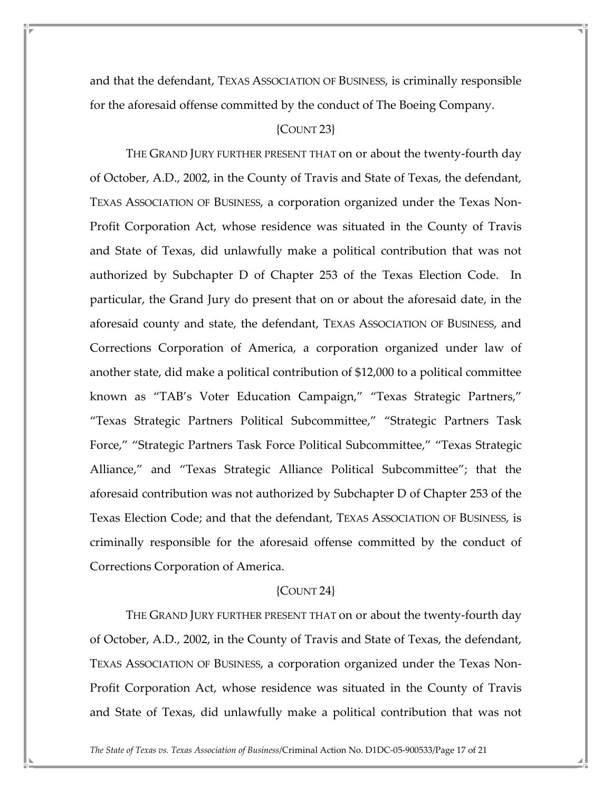and that the defendant, TEXAS ASSOCIATION OF BUSINESS, is criminally responsible for the aforesaid offense committed by the conduct of The Boeing Company.

### ${COUNT 23}$

 THE GRAND JURY FURTHER PRESENT THAT on or about the twenty-fourth day of October, A.D., 2002, in the County of Travis and State of Texas, the defendant, TEXAS ASSOCIATION OF BUSINESS, a corporation organized under the Texas Non-Profit Corporation Act, whose residence was situated in the County of Travis and State of Texas, did unlawfully make a political contribution that was not authorized by Subchapter D of Chapter 253 of the Texas Election Code. In particular, the Grand Jury do present that on or about the aforesaid date, in the aforesaid county and state, the defendant, TEXAS ASSOCIATION OF BUSINESS, and Corrections Corporation of America, a corporation organized under law of another state, did make a political contribution of \$12,000 to a political committee known as "TAB's Voter Education Campaign," "Texas Strategic Partners," "Texas Strategic Partners Political Subcommittee," "Strategic Partners Task Force," "Strategic Partners Task Force Political Subcommittee," "Texas Strategic Alliance," and "Texas Strategic Alliance Political Subcommittee"; that the aforesaid contribution was not authorized by Subchapter D of Chapter 253 of the Texas Election Code; and that the defendant, TEXAS ASSOCIATION OF BUSINESS, is criminally responsible for the aforesaid offense committed by the conduct of Corrections Corporation of America.

#### {COUNT 24}

 THE GRAND JURY FURTHER PRESENT THAT on or about the twenty-fourth day of October, A.D., 2002, in the County of Travis and State of Texas, the defendant, TEXAS ASSOCIATION OF BUSINESS, a corporation organized under the Texas Non-Profit Corporation Act, whose residence was situated in the County of Travis and State of Texas, did unlawfully make a political contribution that was not

The State of Texas vs. Texas Association of Business/Criminal Action No. D1DC-05-900533/Page 17 of 21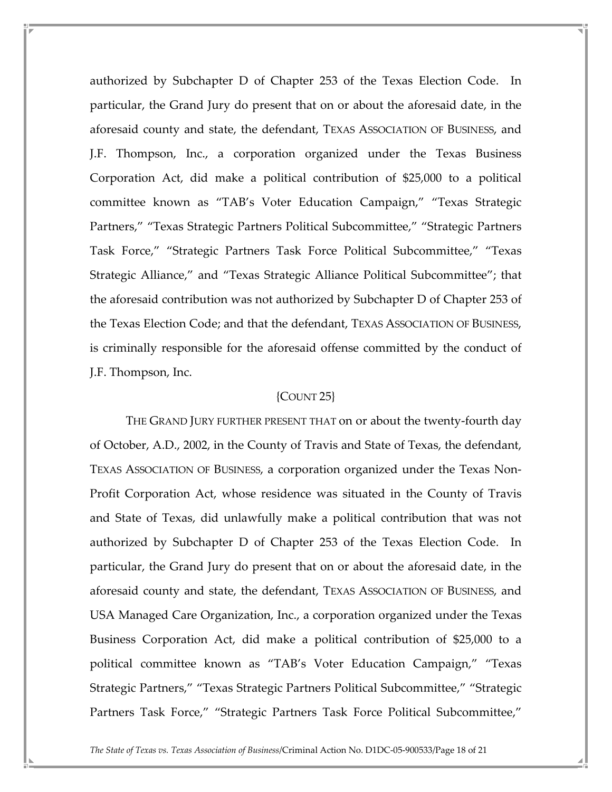authorized by Subchapter D of Chapter 253 of the Texas Election Code. In particular, the Grand Jury do present that on or about the aforesaid date, in the aforesaid county and state, the defendant, TEXAS ASSOCIATION OF BUSINESS, and J.F. Thompson, Inc., a corporation organized under the Texas Business Corporation Act, did make a political contribution of \$25,000 to a political committee known as "TAB's Voter Education Campaign," "Texas Strategic Partners," "Texas Strategic Partners Political Subcommittee," "Strategic Partners Task Force," "Strategic Partners Task Force Political Subcommittee," "Texas Strategic Alliance," and "Texas Strategic Alliance Political Subcommittee"; that the aforesaid contribution was not authorized by Subchapter D of Chapter 253 of the Texas Election Code; and that the defendant, TEXAS ASSOCIATION OF BUSINESS, is criminally responsible for the aforesaid offense committed by the conduct of J.F. Thompson, Inc.

### {COUNT 25}

 THE GRAND JURY FURTHER PRESENT THAT on or about the twenty-fourth day of October, A.D., 2002, in the County of Travis and State of Texas, the defendant, TEXAS ASSOCIATION OF BUSINESS, a corporation organized under the Texas Non-Profit Corporation Act, whose residence was situated in the County of Travis and State of Texas, did unlawfully make a political contribution that was not authorized by Subchapter D of Chapter 253 of the Texas Election Code. In particular, the Grand Jury do present that on or about the aforesaid date, in the aforesaid county and state, the defendant, TEXAS ASSOCIATION OF BUSINESS, and USA Managed Care Organization, Inc., a corporation organized under the Texas Business Corporation Act, did make a political contribution of \$25,000 to a political committee known as "TAB's Voter Education Campaign," "Texas Strategic Partners," "Texas Strategic Partners Political Subcommittee," "Strategic Partners Task Force," "Strategic Partners Task Force Political Subcommittee,"

The State of Texas vs. Texas Association of Business/Criminal Action No. D1DC-05-900533/Page 18 of 21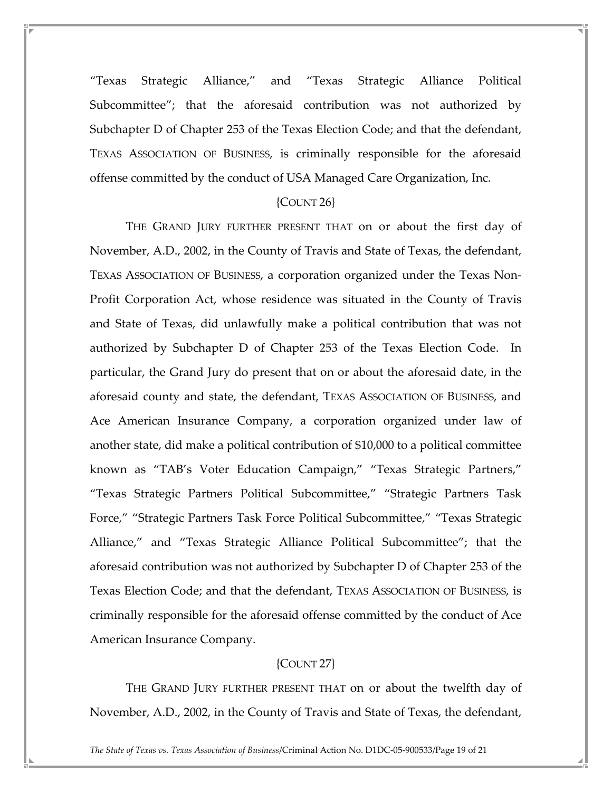"Texas Strategic Alliance," and "Texas Strategic Alliance Political Subcommittee"; that the aforesaid contribution was not authorized by Subchapter D of Chapter 253 of the Texas Election Code; and that the defendant, TEXAS ASSOCIATION OF BUSINESS, is criminally responsible for the aforesaid offense committed by the conduct of USA Managed Care Organization, Inc.

### ${COUNT}$  26}

 THE GRAND JURY FURTHER PRESENT THAT on or about the first day of November, A.D., 2002, in the County of Travis and State of Texas, the defendant, TEXAS ASSOCIATION OF BUSINESS, a corporation organized under the Texas Non-Profit Corporation Act, whose residence was situated in the County of Travis and State of Texas, did unlawfully make a political contribution that was not authorized by Subchapter D of Chapter 253 of the Texas Election Code. In particular, the Grand Jury do present that on or about the aforesaid date, in the aforesaid county and state, the defendant, TEXAS ASSOCIATION OF BUSINESS, and Ace American Insurance Company, a corporation organized under law of another state, did make a political contribution of \$10,000 to a political committee known as "TAB's Voter Education Campaign," "Texas Strategic Partners," "Texas Strategic Partners Political Subcommittee," "Strategic Partners Task Force," "Strategic Partners Task Force Political Subcommittee," "Texas Strategic Alliance," and "Texas Strategic Alliance Political Subcommittee"; that the aforesaid contribution was not authorized by Subchapter D of Chapter 253 of the Texas Election Code; and that the defendant, TEXAS ASSOCIATION OF BUSINESS, is criminally responsible for the aforesaid offense committed by the conduct of Ace American Insurance Company.

## {COUNT 27}

 THE GRAND JURY FURTHER PRESENT THAT on or about the twelfth day of November, A.D., 2002, in the County of Travis and State of Texas, the defendant,

The State of Texas vs. Texas Association of Business/Criminal Action No. D1DC-05-900533/Page 19 of 21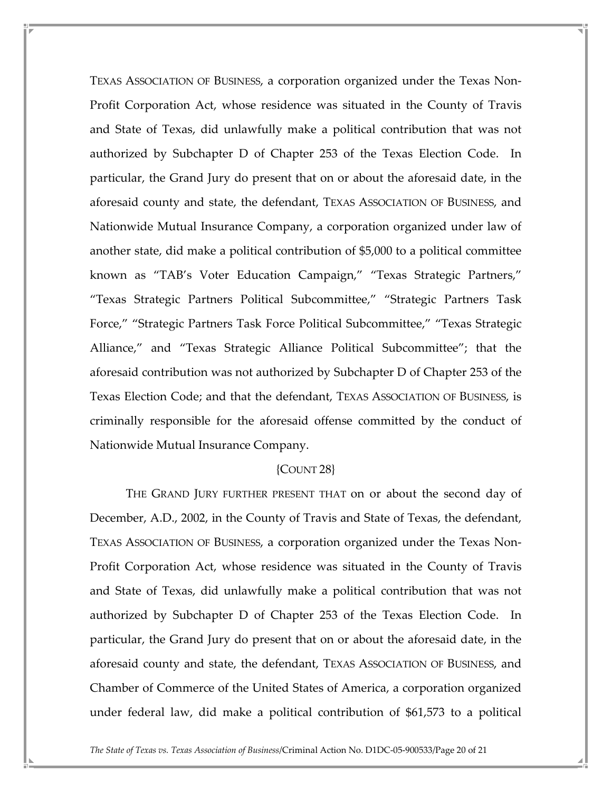TEXAS ASSOCIATION OF BUSINESS, a corporation organized under the Texas Non-Profit Corporation Act, whose residence was situated in the County of Travis and State of Texas, did unlawfully make a political contribution that was not authorized by Subchapter D of Chapter 253 of the Texas Election Code. In particular, the Grand Jury do present that on or about the aforesaid date, in the aforesaid county and state, the defendant, TEXAS ASSOCIATION OF BUSINESS, and Nationwide Mutual Insurance Company, a corporation organized under law of another state, did make a political contribution of \$5,000 to a political committee known as "TAB's Voter Education Campaign," "Texas Strategic Partners," "Texas Strategic Partners Political Subcommittee," "Strategic Partners Task Force," "Strategic Partners Task Force Political Subcommittee," "Texas Strategic Alliance," and "Texas Strategic Alliance Political Subcommittee"; that the aforesaid contribution was not authorized by Subchapter D of Chapter 253 of the Texas Election Code; and that the defendant, TEXAS ASSOCIATION OF BUSINESS, is criminally responsible for the aforesaid offense committed by the conduct of Nationwide Mutual Insurance Company.

#### {COUNT 28}

 THE GRAND JURY FURTHER PRESENT THAT on or about the second day of December, A.D., 2002, in the County of Travis and State of Texas, the defendant, TEXAS ASSOCIATION OF BUSINESS, a corporation organized under the Texas Non-Profit Corporation Act, whose residence was situated in the County of Travis and State of Texas, did unlawfully make a political contribution that was not authorized by Subchapter D of Chapter 253 of the Texas Election Code. In particular, the Grand Jury do present that on or about the aforesaid date, in the aforesaid county and state, the defendant, TEXAS ASSOCIATION OF BUSINESS, and Chamber of Commerce of the United States of America, a corporation organized under federal law, did make a political contribution of \$61,573 to a political